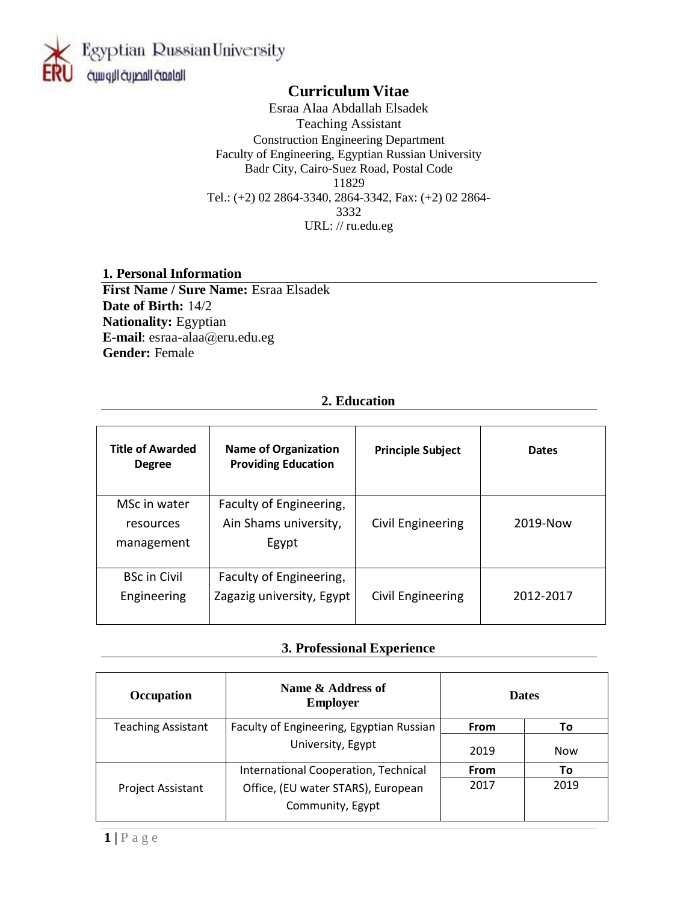

## **Curriculum Vitae**

Esraa Alaa Abdallah Elsadek Teaching Assistant Construction Engineering Department Faculty of Engineering, Egyptian Russian University Badr City, Cairo-Suez Road, Postal Code 11829 Tel.: (+2) 02 2864-3340, 2864-3342, Fax: (+2) 02 2864- 3332 URL: // ru.edu.eg

## **1. Personal Information**

**First Name / Sure Name:** Esraa Elsadek **Date of Birth:** 14/2 **Nationality:** Egyptian **E-mail**: esraa-alaa@eru.edu.eg **Gender:** Female

#### **2. Education**

| <b>Title of Awarded</b><br><b>Degree</b> | <b>Name of Organization</b><br><b>Providing Education</b> | <b>Principle Subject</b> | <b>Dates</b> |
|------------------------------------------|-----------------------------------------------------------|--------------------------|--------------|
| MSc in water<br>resources                | Faculty of Engineering,<br>Ain Shams university,          | Civil Engineering        | 2019-Now     |
| management                               | Egypt                                                     |                          |              |
| <b>BSc in Civil</b>                      | Faculty of Engineering,                                   |                          |              |
| Engineering                              | Zagazig university, Egypt                                 | Civil Engineering        | 2012-2017    |

#### **3. Professional Experience**

| <b>Occupation</b>         | Name & Address of<br><b>Employer</b>                   | <b>Dates</b> |            |
|---------------------------|--------------------------------------------------------|--------------|------------|
| <b>Teaching Assistant</b> | Faculty of Engineering, Egyptian Russian               | <b>From</b>  | Τo         |
|                           | University, Egypt                                      | 2019         | <b>Now</b> |
|                           | International Cooperation, Technical                   | <b>From</b>  | Τo         |
| Project Assistant         | Office, (EU water STARS), European<br>Community, Egypt | 2017         | 2019       |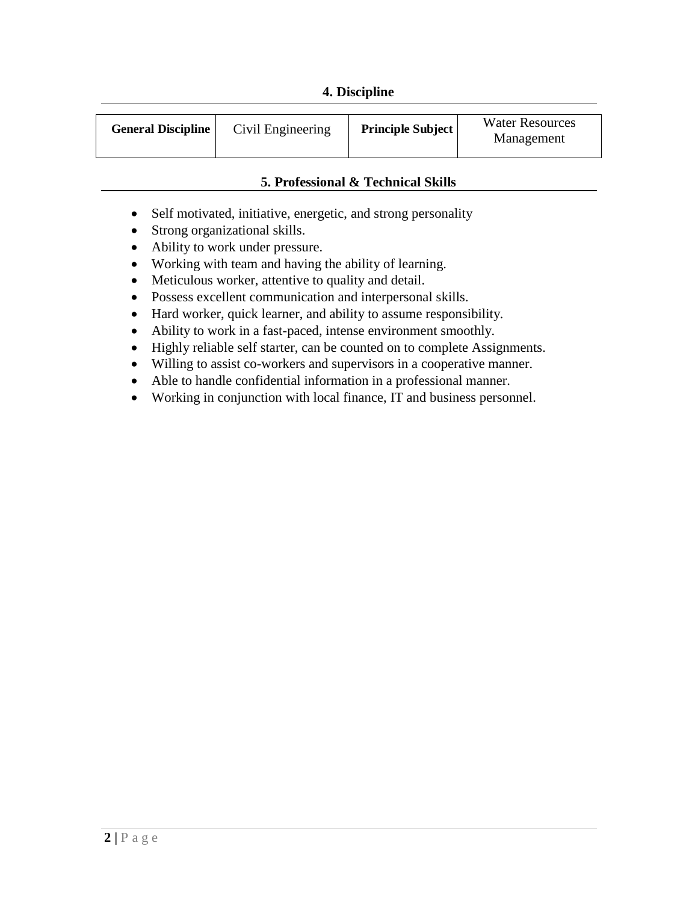### **4. Discipline**

| <b>General Discipline</b> | Civil Engineering | <b>Principle Subject</b> | <b>Water Resources</b><br>Management |
|---------------------------|-------------------|--------------------------|--------------------------------------|
|---------------------------|-------------------|--------------------------|--------------------------------------|

### **5. Professional & Technical Skills**

- Self motivated, initiative, energetic, and strong personality
- Strong organizational skills.
- Ability to work under pressure.
- Working with team and having the ability of learning.
- Meticulous worker, attentive to quality and detail.
- Possess excellent communication and interpersonal skills.
- Hard worker, quick learner, and ability to assume responsibility.
- Ability to work in a fast-paced, intense environment smoothly.
- Highly reliable self starter, can be counted on to complete Assignments.
- Willing to assist co-workers and supervisors in a cooperative manner.
- Able to handle confidential information in a professional manner.
- Working in conjunction with local finance, IT and business personnel.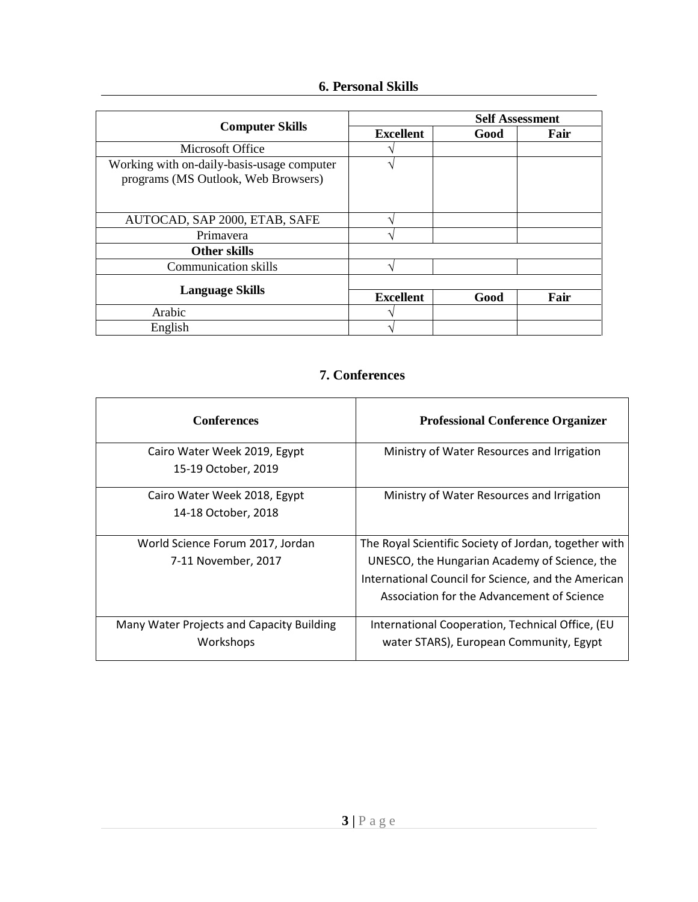## **6. Personal Skills**

|                                                                                   | <b>Self Assessment</b> |      |      |
|-----------------------------------------------------------------------------------|------------------------|------|------|
| <b>Computer Skills</b>                                                            | <b>Excellent</b>       | Good | Fair |
| Microsoft Office                                                                  |                        |      |      |
| Working with on-daily-basis-usage computer<br>programs (MS Outlook, Web Browsers) |                        |      |      |
| AUTOCAD, SAP 2000, ETAB, SAFE                                                     |                        |      |      |
| Primayera                                                                         |                        |      |      |
| Other skills                                                                      |                        |      |      |
| Communication skills                                                              |                        |      |      |
|                                                                                   |                        |      |      |
| <b>Language Skills</b>                                                            | <b>Excellent</b>       | Good | Fair |
| Arabic                                                                            |                        |      |      |
| English                                                                           |                        |      |      |

# **7. Conferences**

Ë

| <b>Conferences</b>                        | <b>Professional Conference Organizer</b>              |
|-------------------------------------------|-------------------------------------------------------|
| Cairo Water Week 2019, Egypt              | Ministry of Water Resources and Irrigation            |
| 15-19 October, 2019                       |                                                       |
| Cairo Water Week 2018, Egypt              | Ministry of Water Resources and Irrigation            |
| 14-18 October, 2018                       |                                                       |
| World Science Forum 2017, Jordan          | The Royal Scientific Society of Jordan, together with |
| 7-11 November, 2017                       | UNESCO, the Hungarian Academy of Science, the         |
|                                           | International Council for Science, and the American   |
|                                           | Association for the Advancement of Science            |
| Many Water Projects and Capacity Building | International Cooperation, Technical Office, (EU      |
| Workshops                                 | water STARS), European Community, Egypt               |